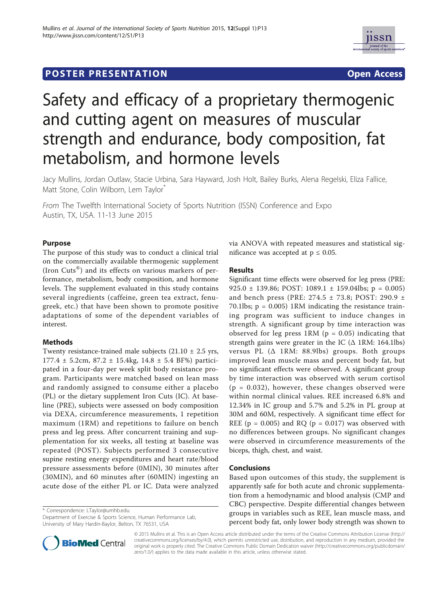



# Safety and efficacy of a proprietary thermogenic and cutting agent on measures of muscular strength and endurance, body composition, fat metabolism, and hormone levels

Jacy Mullins, Jordan Outlaw, Stacie Urbina, Sara Hayward, Josh Holt, Bailey Burks, Alena Regelski, Eliza Fallice, Matt Stone, Colin Wilborn, Lem Taylor<sup>\*</sup>

From The Twelfth International Society of Sports Nutrition (ISSN) Conference and Expo Austin, TX, USA. 11-13 June 2015

## Purpose

The purpose of this study was to conduct a clinical trial on the commercially available thermogenic supplement (Iron Cuts®) and its effects on various markers of performance, metabolism, body composition, and hormone levels. The supplement evaluated in this study contains several ingredients (caffeine, green tea extract, fenugreek, etc.) that have been shown to promote positive adaptations of some of the dependent variables of interest.

# Methods

Twenty resistance-trained male subjects  $(21.10 \pm 2.5 \text{ yrs},$  $177.4 \pm 5.2$ cm,  $87.2 \pm 15.4$ kg,  $14.8 \pm 5.4$  BF%) participated in a four-day per week split body resistance program. Participants were matched based on lean mass and randomly assigned to consume either a placebo (PL) or the dietary supplement Iron Cuts (IC). At baseline (PRE), subjects were assessed on body composition via DEXA, circumference measurements, 1 repetition maximum (1RM) and repetitions to failure on bench press and leg press. After concurrent training and supplementation for six weeks, all testing at baseline was repeated (POST). Subjects performed 3 consecutive supine resting energy expenditures and heart rate/blood pressure assessments before (0MIN), 30 minutes after (30MIN), and 60 minutes after (60MIN) ingesting an acute dose of the either PL or IC. Data were analyzed

\* Correspondence: LTaylor@umhb.edu

Department of Exercise & Sports Science, Human Performance Lab, University of Mary Hardin-Baylor, Belton, TX 76531, USA



### Results

Significant time effects were observed for leg press (PRE: 925.0 ± 139.86; POST: 1089.1 ± 159.04lbs; p = 0.005) and bench press (PRE: 274.5 ± 73.8; POST: 290.9 ± 70.1lbs; p = 0.005) 1RM indicating the resistance training program was sufficient to induce changes in strength. A significant group by time interaction was observed for leg press  $1RM$  ( $p = 0.05$ ) indicating that strength gains were greater in the IC (Δ 1RM: 164.1lbs) versus PL (Δ 1RM: 88.9lbs) groups. Both groups improved lean muscle mass and percent body fat, but no significant effects were observed. A significant group by time interaction was observed with serum cortisol  $(p = 0.032)$ , however, these changes observed were within normal clinical values. REE increased 6.8% and 12.34% in IC group and 5.7% and 5.2% in PL group at 30M and 60M, respectively. A significant time effect for REE ( $p = 0.005$ ) and RQ ( $p = 0.017$ ) was observed with no differences between groups. No significant changes were observed in circumference measurements of the biceps, thigh, chest, and waist.

# Conclusions

Based upon outcomes of this study, the supplement is apparently safe for both acute and chronic supplementation from a hemodynamic and blood analysis (CMP and CBC) perspective. Despite differential changes between groups in variables such as REE, lean muscle mass, and percent body fat, only lower body strength was shown to



© 2015 Mullins et al. This is an Open Access article distributed under the terms of the Creative Commons Attribution License (http:// creativecommons.org/licenses/by/4.0), which permits unrestricted use, distribution, and reproduction in any medium, provided the original work is properly cited. The Creative Commons Public Domain Dedication waiver (http://creativecommons.org/publicdomain/ zero/1.0/) applies to the data made available in this article, unless otherwise stated.